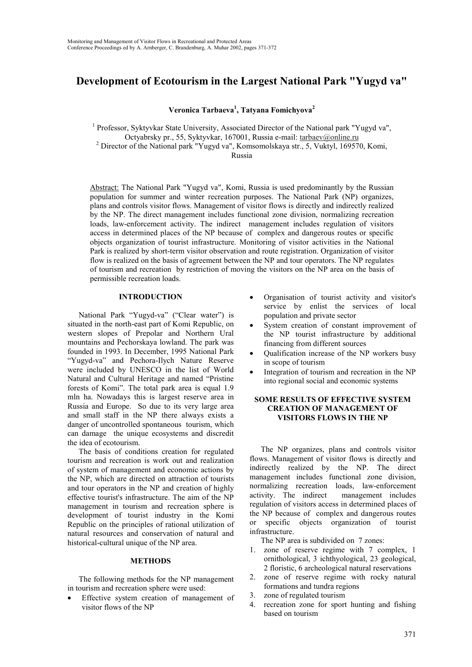## **Development of Ecotourism in the Largest National Park "Yugyd va"**

**Veronica Tarbaeva<sup>1</sup> , Tatyana Fomichyova<sup>2</sup>**

<sup>1</sup> Professor, Syktyvkar State University, Associated Director of the National park "Yugyd va", Octvabrsky pr., 55, Syktyvkar, 167001, Russia e-mail: tarbaev@online.ru <sup>2</sup> Director of the National park "Yugyd va", Komsomolskaya str., 5, Vuktyl, 169570, Komi,

Russia

Abstract: The National Park "Yugyd va", Komi, Russia is used predominantly by the Russian population for summer and winter recreation purposes. The National Park (NP) organizes, plans and controls visitor flows. Management of visitor flows is directly and indirectly realized by the NP. The direct management includes functional zone division, normalizing recreation loads, law-enforcement activity. The indirect management includes regulation of visitors access in determined places of the NP because of complex and dangerous routes or specific objects organization of tourist infrastructure. Monitoring of visitor activities in the National Park is realized by short-term visitor observation and route registration. Organization of visitor flow is realized on the basis of agreement between the NP and tour operators. The NP regulates of tourism and recreation by restriction of moving the visitors on the NP area on the basis of permissible recreation loads.

## **INTRODUCTION**

National Park "Yugyd-va" ("Clear water") is situated in the north-east part of Komi Republic, on western slopes of Prepolar and Northern Ural mountains and Pechorskaya lowland. The park was founded in 1993. In December, 1995 National Park "Yugyd-va" and Pechora-Ilych Nature Reserve were included by UNESCO in the list of World Natural and Cultural Heritage and named "Pristine forests of Komi". The total park area is equal 1.9 mln ha. Nowadays this is largest reserve area in Russia and Europe. So due to its very large area and small staff in the NP there always exists a danger of uncontrolled spontaneous tourism, which can damage the unique ecosystems and discredit the idea of ecotourism.

The basis of conditions creation for regulated tourism and recreation is work out and realization of system of management and economic actions by the NP, which are directed on attraction of tourists and tour operators in the NP and creation of highly effective tourist's infrastructure. The aim of the NP management in tourism and recreation sphere is development of tourist industry in the Komi Republic on the principles of rational utilization of natural resources and conservation of natural and historical-cultural unique of the NP area.

## **METHODS**

The following methods for the NP management in tourism and recreation sphere were used:

Effective system creation of management of visitor flows of the NP

- Organisation of tourist activity and visitor's service by enlist the services of local population and private sector
- System creation of constant improvement of the NP tourist infrastructure by additional financing from different sources
- Qualification increase of the NP workers busy in scope of tourism
- Integration of tourism and recreation in the NP into regional social and economic systems

## **SOME RESULTS OF EFFECTIVE SYSTEM CREATION OF MANAGEMENT OF VISITORS FLOWS IN THE NP**

The NP organizes, plans and controls visitor flows. Management of visitor flows is directly and indirectly realized by the NP. The direct management includes functional zone division, normalizing recreation loads, law-enforcement activity. The indirect management includes regulation of visitors access in determined places of the NP because of complex and dangerous routes or specific objects organization of tourist infrastructure.

The NP area is subdivided on 7 zones:

- 1. zone of reserve regime with 7 complex, 1 ornithological, 3 ichthyological, 23 geological, 2 floristic, 6 archeological natural reservations
- 2. zone of reserve regime with rocky natural formations and tundra regions
- 3. zone of regulated tourism
- 4. recreation zone for sport hunting and fishing based on tourism